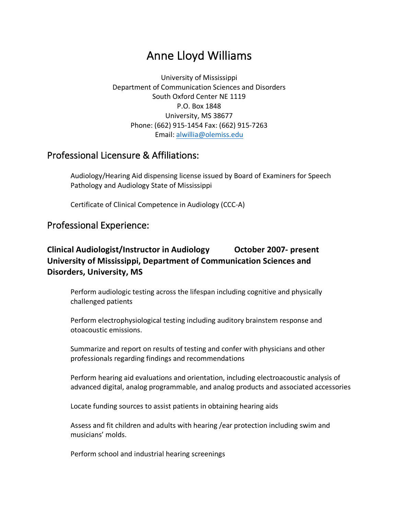# Anne Lloyd Williams

University of Mississippi Department of Communication Sciences and Disorders South Oxford Center NE 1119 P.O. Box 1848 University, MS 38677 Phone: (662) 915-1454 Fax: (662) 915-7263 Email: alwillia@olemiss.edu

# Professional Licensure & Affiliations:

Audiology/Hearing Aid dispensing license issued by Board of Examiners for Speech Pathology and Audiology State of Mississippi

Certificate of Clinical Competence in Audiology (CCC-A)

# Professional Experience:

# **Clinical Audiologist/Instructor in Audiology October 2007- present University of Mississippi, Department of Communication Sciences and Disorders, University, MS**

Perform audiologic testing across the lifespan including cognitive and physically challenged patients

Perform electrophysiological testing including auditory brainstem response and otoacoustic emissions.

Summarize and report on results of testing and confer with physicians and other professionals regarding findings and recommendations

Perform hearing aid evaluations and orientation, including electroacoustic analysis of advanced digital, analog programmable, and analog products and associated accessories

Locate funding sources to assist patients in obtaining hearing aids

Assess and fit children and adults with hearing /ear protection including swim and musicians' molds.

Perform school and industrial hearing screenings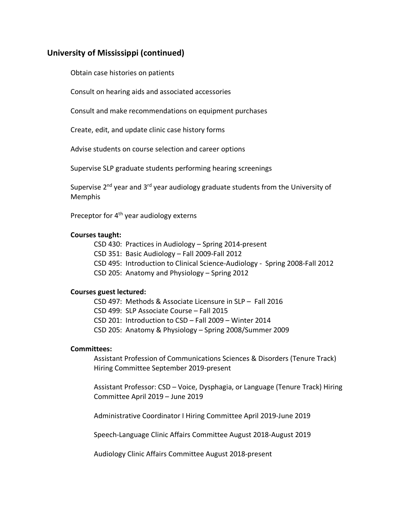### **University of Mississippi (continued)**

Obtain case histories on patients

Consult on hearing aids and associated accessories

Consult and make recommendations on equipment purchases

Create, edit, and update clinic case history forms

Advise students on course selection and career options

Supervise SLP graduate students performing hearing screenings

Supervise  $2^{nd}$  year and  $3^{rd}$  year audiology graduate students from the University of Memphis

Preceptor for 4<sup>th</sup> year audiology externs

#### **Courses taught:**

- CSD 430: Practices in Audiology Spring 2014-present
- CSD 351: Basic Audiology Fall 2009-Fall 2012
- CSD 495: Introduction to Clinical Science-Audiology Spring 2008-Fall 2012
- CSD 205: Anatomy and Physiology Spring 2012

#### **Courses guest lectured:**

- CSD 497: Methods & Associate Licensure in SLP Fall 2016
- CSD 499: SLP Associate Course Fall 2015
- CSD 201: Introduction to CSD Fall 2009 Winter 2014
- CSD 205: Anatomy & Physiology Spring 2008/Summer 2009

#### **Committees:**

Assistant Profession of Communications Sciences & Disorders (Tenure Track) Hiring Committee September 2019-present

Assistant Professor: CSD – Voice, Dysphagia, or Language (Tenure Track) Hiring Committee April 2019 – June 2019

Administrative Coordinator I Hiring Committee April 2019-June 2019

Speech-Language Clinic Affairs Committee August 2018-August 2019

Audiology Clinic Affairs Committee August 2018-present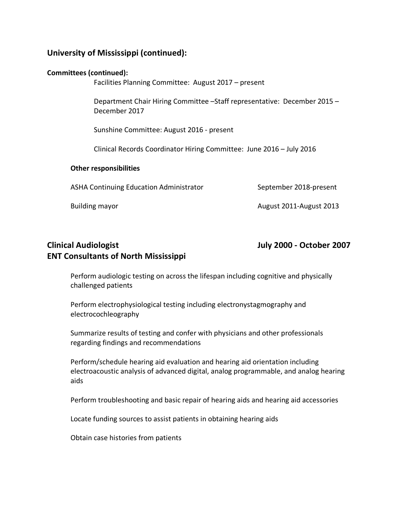## **University of Mississippi (continued):**

| <b>Committees (continued):</b><br>Facilities Planning Committee: August 2017 – present |                                                                                                                                                                                                                |                         |
|----------------------------------------------------------------------------------------|----------------------------------------------------------------------------------------------------------------------------------------------------------------------------------------------------------------|-------------------------|
|                                                                                        | Department Chair Hiring Committee -Staff representative: December 2015 -<br>December 2017<br>Sunshine Committee: August 2016 - present<br>Clinical Records Coordinator Hiring Committee: June 2016 - July 2016 |                         |
|                                                                                        |                                                                                                                                                                                                                |                         |
|                                                                                        |                                                                                                                                                                                                                |                         |
| <b>Other responsibilities</b>                                                          |                                                                                                                                                                                                                |                         |
|                                                                                        | <b>ASHA Continuing Education Administrator</b>                                                                                                                                                                 | September 2018-present  |
|                                                                                        | <b>Building mayor</b>                                                                                                                                                                                          | August 2011-August 2013 |
|                                                                                        |                                                                                                                                                                                                                |                         |

# **Clinical Audiologist July 2000 - October 2007 ENT Consultants of North Mississippi**

Perform audiologic testing on across the lifespan including cognitive and physically challenged patients

Perform electrophysiological testing including electronystagmography and electrocochleography

Summarize results of testing and confer with physicians and other professionals regarding findings and recommendations

Perform/schedule hearing aid evaluation and hearing aid orientation including electroacoustic analysis of advanced digital, analog programmable, and analog hearing aids

Perform troubleshooting and basic repair of hearing aids and hearing aid accessories

Locate funding sources to assist patients in obtaining hearing aids

Obtain case histories from patients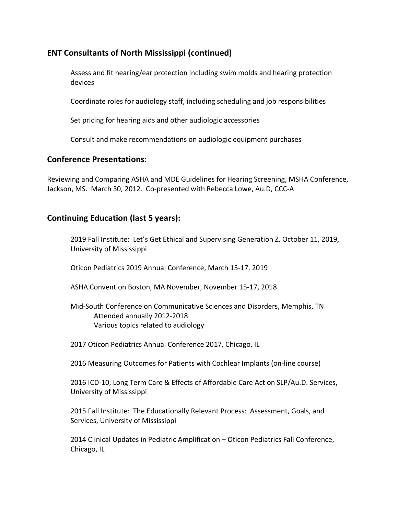## **ENT Consultants of North Mississippi (continued)**

Assess and fit hearing/ear protection including swim molds and hearing protection devices

Coordinate roles for audiology staff, including scheduling and job responsibilities

Set pricing for hearing aids and other audiologic accessories

Consult and make recommendations on audiologic equipment purchases

#### **Conference Presentations:**

Reviewing and Comparing ASHA and MDE Guidelines for Hearing Screening, MSHA Conference, Jackson, MS. March 30, 2012. Co-presented with Rebecca Lowe, Au.D, CCC-A

### **Continuing Education (last 5 years):**

2019 Fall Institute: Let's Get Ethical and Supervising Generation Z, October 11, 2019, University of Mississippi

Oticon Pediatrics 2019 Annual Conference, March 15-17, 2019

ASHA Convention Boston, MA November, November 15-17, 2018

#### Mid-South Conference on Communicative Sciences and Disorders, Memphis, TN Attended annually 2012-2018 Various topics related to audiology

2017 Oticon Pediatrics Annual Conference 2017, Chicago, IL

2016 Measuring Outcomes for Patients with Cochlear Implants (on-line course)

2016 ICD-10, Long Term Care & Effects of Affordable Care Act on SLP/Au.D. Services, University of Mississippi

2015 Fall Institute: The Educationally Relevant Process: Assessment, Goals, and Services, University of Mississippi

2014 Clinical Updates in Pediatric Amplification – Oticon Pediatrics Fall Conference, Chicago, IL